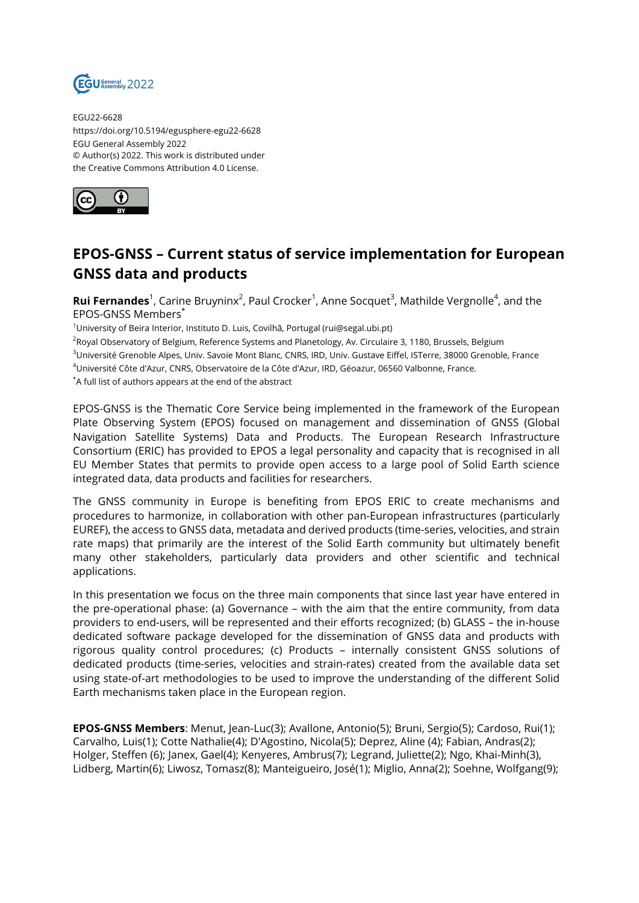

EGU22-6628 https://doi.org/10.5194/egusphere-egu22-6628 EGU General Assembly 2022 © Author(s) 2022. This work is distributed under the Creative Commons Attribution 4.0 License.



## **EPOS-GNSS – Current status of service implementation for European GNSS data and products**

**Rui Fernandes**<sup>1</sup>, Carine Bruyninx<sup>2</sup>, Paul Crocker<sup>1</sup>, Anne Socquet<sup>3</sup>, Mathilde Vergnolle<sup>4</sup>, and the EPOS-GNSS Members\*

 $1$ University of Beira Interior, Instituto D. Luis, Covilhã, Portugal (rui@segal.ubi.pt)

<sup>2</sup>Royal Observatory of Belgium, Reference Systems and Planetology, Av. Circulaire 3, 1180, Brussels, Belgium

<sup>3</sup>Université Grenoble Alpes, Univ. Savoie Mont Blanc, CNRS, IRD, Univ. Gustave Eiffel, ISTerre, 38000 Grenoble, France

<sup>4</sup>Université Côte d'Azur, CNRS, Observatoire de la Côte d'Azur, IRD, Géoazur, 06560 Valbonne, France.

\*A full list of authors appears at the end of the abstract

EPOS-GNSS is the Thematic Core Service being implemented in the framework of the European Plate Observing System (EPOS) focused on management and dissemination of GNSS (Global Navigation Satellite Systems) Data and Products. The European Research Infrastructure Consortium (ERIC) has provided to EPOS a legal personality and capacity that is recognised in all EU Member States that permits to provide open access to a large pool of Solid Earth science integrated data, data products and facilities for researchers.

The GNSS community in Europe is benefiting from EPOS ERIC to create mechanisms and procedures to harmonize, in collaboration with other pan-European infrastructures (particularly EUREF), the access to GNSS data, metadata and derived products (time-series, velocities, and strain rate maps) that primarily are the interest of the Solid Earth community but ultimately benefit many other stakeholders, particularly data providers and other scientific and technical applications.

In this presentation we focus on the three main components that since last year have entered in the pre-operational phase: (a) Governance – with the aim that the entire community, from data providers to end-users, will be represented and their efforts recognized; (b) GLASS – the in-house dedicated software package developed for the dissemination of GNSS data and products with rigorous quality control procedures; (c) Products – internally consistent GNSS solutions of dedicated products (time-series, velocities and strain-rates) created from the available data set using state-of-art methodologies to be used to improve the understanding of the different Solid Earth mechanisms taken place in the European region.

**EPOS-GNSS Members**: Menut, Jean-Luc(3); Avallone, Antonio(5); Bruni, Sergio(5); Cardoso, Rui(1); Carvalho, Luis(1); Cotte Nathalie(4); D'Agostino, Nicola(5); Deprez, Aline (4); Fabian, Andras(2); Holger, Steffen (6); Janex, Gael(4); Kenyeres, Ambrus(7); Legrand, Juliette(2); Ngo, Khai-Minh(3), Lidberg, Martin(6); Liwosz, Tomasz(8); Manteigueiro, José(1); Miglio, Anna(2); Soehne, Wolfgang(9);